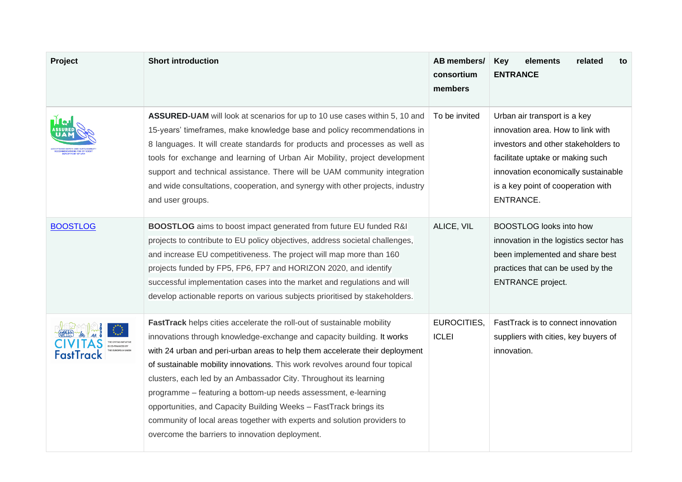| Project         | <b>Short introduction</b>                                                                                                                                                                                                                                                                                                                                                                                                                                                                                                                                                                                                                                 | AB members/<br>consortium<br>members | elements<br>related<br><b>Key</b><br>to<br><b>ENTRANCE</b>                                                                                                                                                                             |
|-----------------|-----------------------------------------------------------------------------------------------------------------------------------------------------------------------------------------------------------------------------------------------------------------------------------------------------------------------------------------------------------------------------------------------------------------------------------------------------------------------------------------------------------------------------------------------------------------------------------------------------------------------------------------------------------|--------------------------------------|----------------------------------------------------------------------------------------------------------------------------------------------------------------------------------------------------------------------------------------|
|                 | ASSURED-UAM will look at scenarios for up to 10 use cases within 5, 10 and<br>15-years' timeframes, make knowledge base and policy recommendations in<br>8 languages. It will create standards for products and processes as well as<br>tools for exchange and learning of Urban Air Mobility, project development<br>support and technical assistance. There will be UAM community integration<br>and wide consultations, cooperation, and synergy with other projects, industry<br>and user groups.                                                                                                                                                     | To be invited                        | Urban air transport is a key<br>innovation area. How to link with<br>investors and other stakeholders to<br>facilitate uptake or making such<br>innovation economically sustainable<br>is a key point of cooperation with<br>ENTRANCE. |
| <b>BOOSTLOG</b> | BOOSTLOG aims to boost impact generated from future EU funded R&I<br>projects to contribute to EU policy objectives, address societal challenges,<br>and increase EU competitiveness. The project will map more than 160<br>projects funded by FP5, FP6, FP7 and HORIZON 2020, and identify<br>successful implementation cases into the market and regulations and will<br>develop actionable reports on various subjects prioritised by stakeholders.                                                                                                                                                                                                    | ALICE, VIL                           | <b>BOOSTLOG</b> looks into how<br>innovation in the logistics sector has<br>been implemented and share best<br>practices that can be used by the<br><b>ENTRANCE</b> project.                                                           |
| FastTrack       | FastTrack helps cities accelerate the roll-out of sustainable mobility<br>innovations through knowledge-exchange and capacity building. It works<br>with 24 urban and peri-urban areas to help them accelerate their deployment<br>of sustainable mobility innovations. This work revolves around four topical<br>clusters, each led by an Ambassador City. Throughout its learning<br>programme - featuring a bottom-up needs assessment, e-learning<br>opportunities, and Capacity Building Weeks - FastTrack brings its<br>community of local areas together with experts and solution providers to<br>overcome the barriers to innovation deployment. | EUROCITIES,<br><b>ICLEI</b>          | FastTrack is to connect innovation<br>suppliers with cities, key buyers of<br>innovation.                                                                                                                                              |